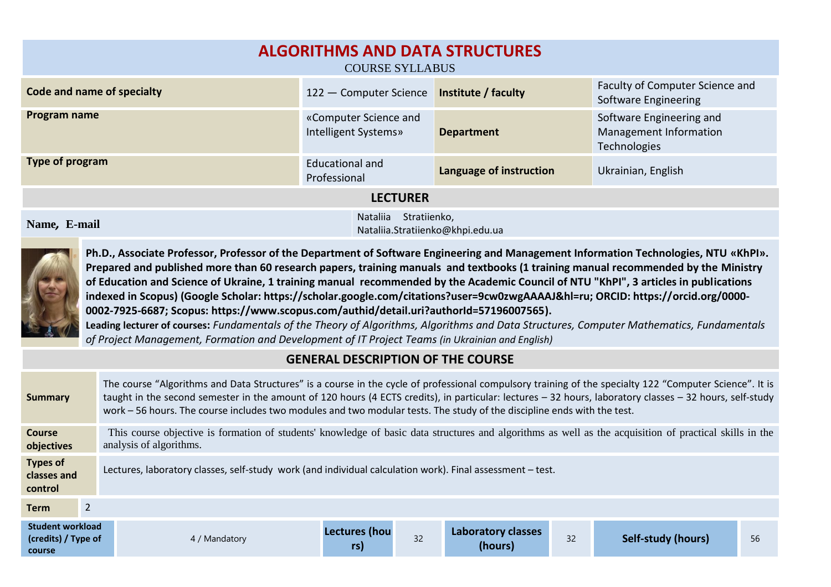| <b>ALGORITHMS AND DATA STRUCTURES</b><br><b>COURSE SYLLABUS</b> |                                                              |                         |                                                                    |  |  |  |  |
|-----------------------------------------------------------------|--------------------------------------------------------------|-------------------------|--------------------------------------------------------------------|--|--|--|--|
| Code and name of specialty                                      | 122 - Computer Science                                       | Institute / faculty     | Faculty of Computer Science and<br>Software Engineering            |  |  |  |  |
| Program name                                                    | «Computer Science and<br>Intelligent Systems»                | <b>Department</b>       | Software Engineering and<br>Management Information<br>Technologies |  |  |  |  |
| Type of program                                                 | Educational and<br>Professional                              | Language of instruction | Ukrainian, English                                                 |  |  |  |  |
| <b>LECTURER</b>                                                 |                                                              |                         |                                                                    |  |  |  |  |
| Name, E-mail                                                    | Stratiienko,<br>Nataliia<br>Natalija Stratijenko@khni edu ua |                         |                                                                    |  |  |  |  |

Nataliia.Stratiienko@khpi.edu.ua



**Ph.D., Associate Professor, Professor of the Department of Software Engineering and Management Information Technologies, NTU «KhPI». Prepared and published more than 60 research papers, training manuals and textbooks (1 training manual recommended by the Ministry of Education and Science of Ukraine, 1 training manual recommended by the Academic Council of NTU "KhPI", 3 articles in publications indexed in Scopus) (Google Scholar: https://scholar.google.com/citations?user=9cw0zwgAAAAJ&hl=ru; ORCID: https://orcid.org/0000- 0002-7925-6687; Scopus: https://www.scopus.com/authid/detail.uri?authorId=57196007565). Leading lecturer of courses:** *Fundаmentаls of the Theory of Algorithms, Algorithms and Data Structures, Computer Mathematics, Fundamentals* 

*of Project Management, Formation and Development of IT Project Teams (in Ukrainian and English)*

## **GENERAL DESCRIPTION OF THE COURSE**

| Summary                                                  | The course "Algorithms and Data Structures" is a course in the cycle of professional compulsory training of the specialty 122 "Computer Science". It is<br>taught in the second semester in the amount of 120 hours (4 ECTS credits), in particular: lectures - 32 hours, laboratory classes - 32 hours, self-study<br>work – 56 hours. The course includes two modules and two modular tests. The study of the discipline ends with the test. |                             |    |                               |    |                    |    |  |
|----------------------------------------------------------|------------------------------------------------------------------------------------------------------------------------------------------------------------------------------------------------------------------------------------------------------------------------------------------------------------------------------------------------------------------------------------------------------------------------------------------------|-----------------------------|----|-------------------------------|----|--------------------|----|--|
| Course<br>objectives                                     | This course objective is formation of students' knowledge of basic data structures and algorithms as well as the acquisition of practical skills in the<br>analysis of algorithms.                                                                                                                                                                                                                                                             |                             |    |                               |    |                    |    |  |
| <b>Types of</b><br>classes and<br>control                | Lectures, laboratory classes, self-study work (and individual calculation work). Final assessment - test.                                                                                                                                                                                                                                                                                                                                      |                             |    |                               |    |                    |    |  |
| $\overline{2}$<br><b>Term</b>                            |                                                                                                                                                                                                                                                                                                                                                                                                                                                |                             |    |                               |    |                    |    |  |
| <b>Student workload</b><br>(credits) / Type of<br>course | 4 / Mandatory                                                                                                                                                                                                                                                                                                                                                                                                                                  | <b>Lectures (hou</b><br>rs) | 32 | Laboratory classes<br>(hours) | 32 | Self-study (hours) | 56 |  |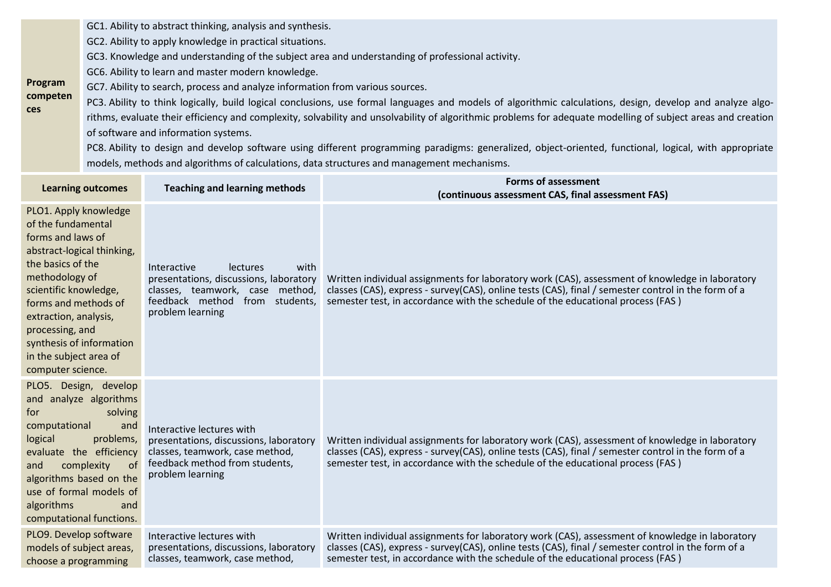GC1. Ability to abstract thinking, analysis and synthesis.

GC2. Ability to apply knowledge in practical situations.

GC3. Knowledge and understanding of the subject area and understanding of professional activity.

GC6. Ability to learn and master modern knowledge.

**ces**

**Program competen** GC7. Ability to search, process and analyze information from various sources.

PC3. Ability to think logically, build logical conclusions, use formal languages and models of algorithmic calculations, design, develop and analyze algorithms, evaluate their efficiency and complexity, solvability and unsolvability of algorithmic problems for adequate modelling of subject areas and creation of software and information systems.

PC8. Ability to design and develop software using different programming paradigms: generalized, object-oriented, functional, logical, with appropriate models, methods and algorithms of calculations, data structures and management mechanisms.

| <b>Learning outcomes</b>                                                                                                                                                                                                                                                                                      | <b>Teaching and learning methods</b>                                                                                                                                      | <b>Forms of assessment</b><br>(continuous assessment CAS, final assessment FAS)                                                                                                                                                                                                           |
|---------------------------------------------------------------------------------------------------------------------------------------------------------------------------------------------------------------------------------------------------------------------------------------------------------------|---------------------------------------------------------------------------------------------------------------------------------------------------------------------------|-------------------------------------------------------------------------------------------------------------------------------------------------------------------------------------------------------------------------------------------------------------------------------------------|
| PLO1. Apply knowledge<br>of the fundamental<br>forms and laws of<br>abstract-logical thinking,<br>the basics of the<br>methodology of<br>scientific knowledge,<br>forms and methods of<br>extraction, analysis,<br>processing, and<br>synthesis of information<br>in the subject area of<br>computer science. | Interactive<br>with<br><b>lectures</b><br>presentations, discussions, laboratory<br>classes, teamwork, case method,<br>feedback method from students,<br>problem learning | Written individual assignments for laboratory work (CAS), assessment of knowledge in laboratory<br>classes (CAS), express - survey(CAS), online tests (CAS), final / semester control in the form of a<br>semester test, in accordance with the schedule of the educational process (FAS) |
| PLO5. Design, develop<br>and analyze algorithms<br>solving<br>for<br>computational<br>and<br>logical<br>problems,<br>evaluate the efficiency<br>of<br>complexity<br>and<br>algorithms based on the<br>use of formal models of<br>algorithms<br>and<br>computational functions.                                | Interactive lectures with<br>presentations, discussions, laboratory<br>classes, teamwork, case method,<br>feedback method from students,<br>problem learning              | Written individual assignments for laboratory work (CAS), assessment of knowledge in laboratory<br>classes (CAS), express - survey(CAS), online tests (CAS), final / semester control in the form of a<br>semester test, in accordance with the schedule of the educational process (FAS) |
| PLO9. Develop software<br>models of subject areas,<br>choose a programming                                                                                                                                                                                                                                    | Interactive lectures with<br>presentations, discussions, laboratory<br>classes, teamwork, case method,                                                                    | Written individual assignments for laboratory work (CAS), assessment of knowledge in laboratory<br>classes (CAS), express - survey(CAS), online tests (CAS), final / semester control in the form of a<br>semester test, in accordance with the schedule of the educational process (FAS) |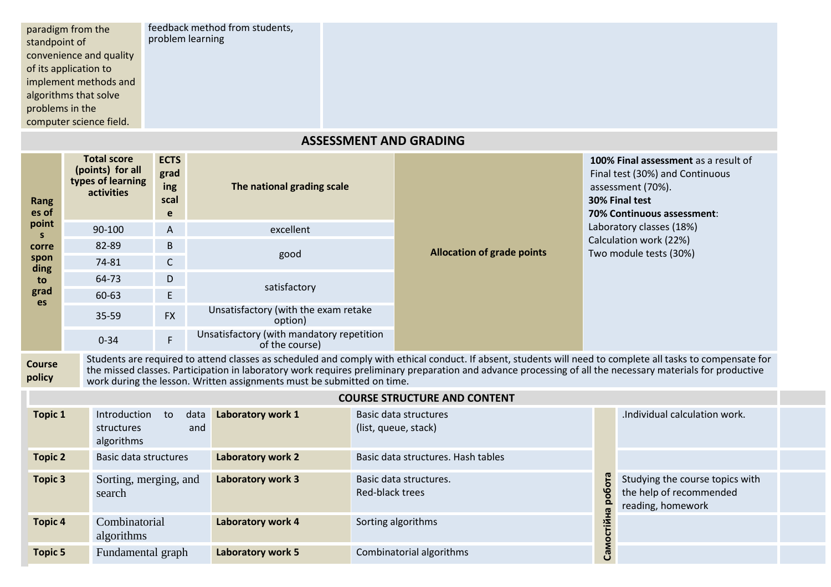| paradigm from the<br>standpoint of | feedback method from students,<br>problem learning |
|------------------------------------|----------------------------------------------------|
| convenience and quality            |                                                    |
| of its application to              |                                                    |
| implement methods and              |                                                    |
| algorithms that solve              |                                                    |
| problems in the                    |                                                    |
| computer science field.            |                                                    |

## **ASSESSMENT AND GRADING**

| Rang<br>es of           | <b>Total score</b><br>(points) for all<br>types of learning<br>activities                                                                                                                                                                                                                                                                                                                           | <b>ECTS</b><br>grad<br>ing<br>scal<br>e | The national grading scale                                  |                 |                                               |            | 100% Final assessment as a result of<br>Final test (30%) and Continuous<br>assessment (70%).<br>30% Final test<br>70% Continuous assessment: |  |  |  |  |
|-------------------------|-----------------------------------------------------------------------------------------------------------------------------------------------------------------------------------------------------------------------------------------------------------------------------------------------------------------------------------------------------------------------------------------------------|-----------------------------------------|-------------------------------------------------------------|-----------------|-----------------------------------------------|------------|----------------------------------------------------------------------------------------------------------------------------------------------|--|--|--|--|
| point<br>S.             | 90-100                                                                                                                                                                                                                                                                                                                                                                                              | A                                       | excellent                                                   |                 |                                               |            | Laboratory classes (18%)                                                                                                                     |  |  |  |  |
| corre                   | 82-89                                                                                                                                                                                                                                                                                                                                                                                               | B                                       |                                                             |                 | <b>Allocation of grade points</b>             |            | Calculation work (22%)<br>Two module tests (30%)                                                                                             |  |  |  |  |
| spon<br>ding            | 74-81                                                                                                                                                                                                                                                                                                                                                                                               | $\mathsf{C}$                            | good                                                        |                 |                                               |            |                                                                                                                                              |  |  |  |  |
| to                      | 64-73                                                                                                                                                                                                                                                                                                                                                                                               | D                                       | satisfactory                                                |                 |                                               |            |                                                                                                                                              |  |  |  |  |
| grad<br>es              | 60-63                                                                                                                                                                                                                                                                                                                                                                                               | E                                       |                                                             |                 |                                               |            |                                                                                                                                              |  |  |  |  |
|                         | $35 - 59$                                                                                                                                                                                                                                                                                                                                                                                           | <b>FX</b>                               | Unsatisfactory (with the exam retake<br>option)             |                 |                                               |            |                                                                                                                                              |  |  |  |  |
|                         | $0 - 34$                                                                                                                                                                                                                                                                                                                                                                                            | F                                       | Unsatisfactory (with mandatory repetition<br>of the course) |                 |                                               |            |                                                                                                                                              |  |  |  |  |
| <b>Course</b><br>policy | Students are required to attend classes as scheduled and comply with ethical conduct. If absent, students will need to complete all tasks to compensate for<br>the missed classes. Participation in laboratory work requires preliminary preparation and advance processing of all the necessary materials for productive<br>work during the lesson. Written assignments must be submitted on time. |                                         |                                                             |                 |                                               |            |                                                                                                                                              |  |  |  |  |
|                         |                                                                                                                                                                                                                                                                                                                                                                                                     |                                         |                                                             |                 | <b>COURSE STRUCTURE AND CONTENT</b>           |            |                                                                                                                                              |  |  |  |  |
| <b>Topic 1</b>          | Introduction<br>structures<br>algorithms                                                                                                                                                                                                                                                                                                                                                            | to<br>data<br>and                       | Laboratory work 1                                           |                 | Basic data structures<br>(list, queue, stack) |            | .Individual calculation work.                                                                                                                |  |  |  |  |
| <b>Topic 2</b>          | Basic data structures                                                                                                                                                                                                                                                                                                                                                                               |                                         | Laboratory work 2                                           |                 | Basic data structures. Hash tables            |            |                                                                                                                                              |  |  |  |  |
| <b>Topic 3</b>          | Sorting, merging, and<br>search                                                                                                                                                                                                                                                                                                                                                                     |                                         | Laboratory work 3                                           | Red-black trees | Basic data structures.                        | робота     | Studying the course topics with<br>the help of recommended<br>reading, homework                                                              |  |  |  |  |
| <b>Topic 4</b>          | Combinatorial<br>algorithms                                                                                                                                                                                                                                                                                                                                                                         |                                         | Laboratory work 4                                           |                 | Sorting algorithms                            | Самостійна |                                                                                                                                              |  |  |  |  |
| <b>Topic 5</b>          | Fundamental graph                                                                                                                                                                                                                                                                                                                                                                                   |                                         | <b>Laboratory work 5</b>                                    |                 | Combinatorial algorithms                      |            |                                                                                                                                              |  |  |  |  |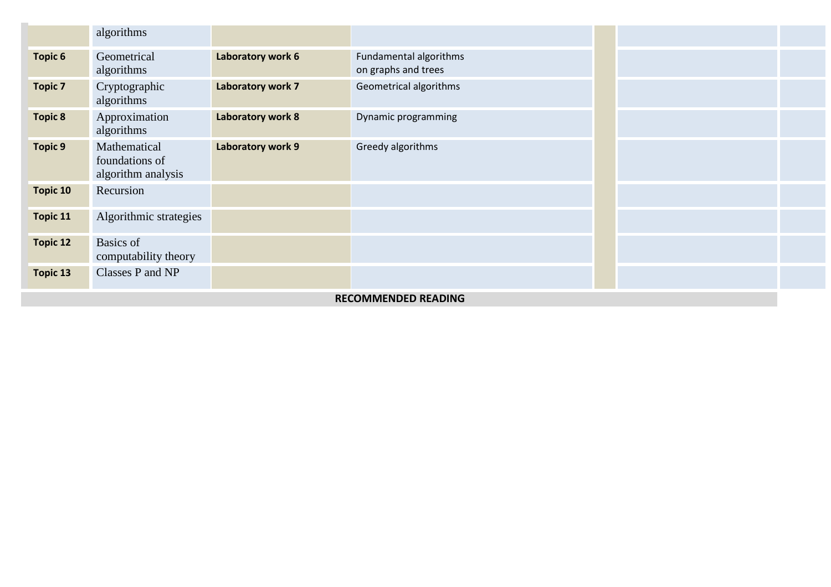|                            | algorithms                                           |                   |                                               |  |  |  |
|----------------------------|------------------------------------------------------|-------------------|-----------------------------------------------|--|--|--|
| <b>Topic 6</b>             | Geometrical<br>algorithms                            | Laboratory work 6 | Fundamental algorithms<br>on graphs and trees |  |  |  |
| <b>Topic 7</b>             | Cryptographic<br>algorithms                          | Laboratory work 7 | Geometrical algorithms                        |  |  |  |
| <b>Topic 8</b>             | Approximation<br>algorithms                          | Laboratory work 8 | Dynamic programming                           |  |  |  |
| <b>Topic 9</b>             | Mathematical<br>foundations of<br>algorithm analysis | Laboratory work 9 | Greedy algorithms                             |  |  |  |
| Topic 10                   | Recursion                                            |                   |                                               |  |  |  |
| <b>Topic 11</b>            | Algorithmic strategies                               |                   |                                               |  |  |  |
| <b>Topic 12</b>            | <b>Basics</b> of<br>computability theory             |                   |                                               |  |  |  |
| <b>Topic 13</b>            | Classes P and NP                                     |                   |                                               |  |  |  |
| <b>RECOMMENDED READING</b> |                                                      |                   |                                               |  |  |  |